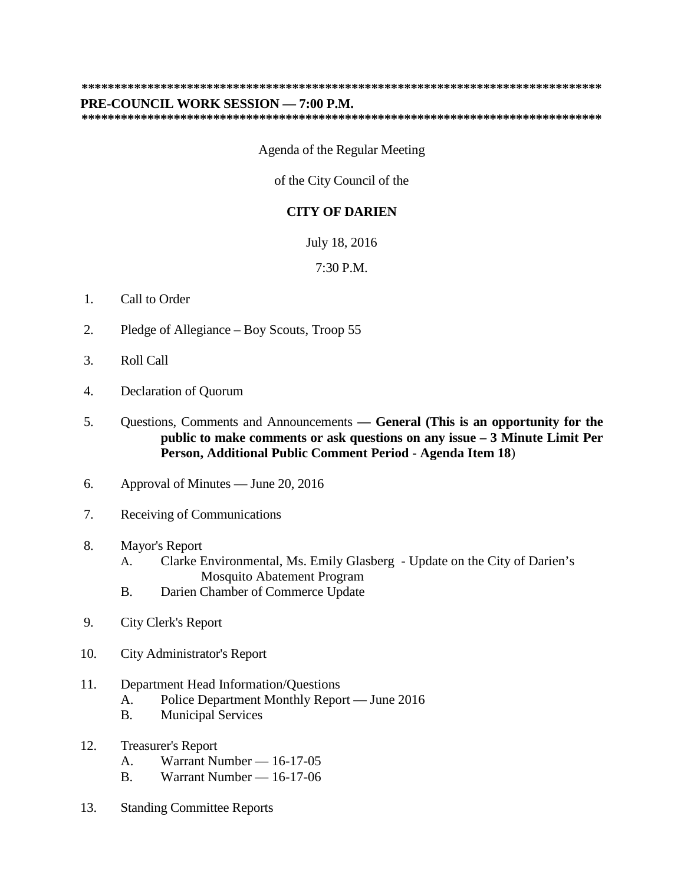## **\*\*\*\*\*\*\*\*\*\*\*\*\*\*\*\*\*\*\*\*\*\*\*\*\*\*\*\*\*\*\*\*\*\*\*\*\*\*\*\*\*\*\*\*\*\*\*\*\*\*\*\*\*\*\*\*\*\*\*\*\*\*\*\*\*\*\*\*\*\*\*\*\*\*\*\*\*\*\***

## **PRE-COUNCIL WORK SESSION — 7:00 P.M.**

**\*\*\*\*\*\*\*\*\*\*\*\*\*\*\*\*\*\*\*\*\*\*\*\*\*\*\*\*\*\*\*\*\*\*\*\*\*\*\*\*\*\*\*\*\*\*\*\*\*\*\*\*\*\*\*\*\*\*\*\*\*\*\*\*\*\*\*\*\*\*\*\*\*\*\*\*\*\*\***

## Agenda of the Regular Meeting

of the City Council of the

## **CITY OF DARIEN**

July 18, 2016

7:30 P.M.

- 1. Call to Order
- 2. Pledge of Allegiance Boy Scouts, Troop 55
- 3. Roll Call
- 4. Declaration of Quorum
- 5. Questions, Comments and Announcements **— General (This is an opportunity for the public to make comments or ask questions on any issue – 3 Minute Limit Per Person, Additional Public Comment Period - Agenda Item 18**)
- 6. Approval of Minutes June 20, 2016
- 7. Receiving of Communications
- 8. Mayor's Report
	- A. Clarke Environmental, Ms. Emily Glasberg Update on the City of Darien's Mosquito Abatement Program
	- B. Darien Chamber of Commerce Update
- 9. City Clerk's Report
- 10. City Administrator's Report
- 11. Department Head Information/Questions
	- A. Police Department Monthly Report June 2016
	- B. Municipal Services
- 12. Treasurer's Report
	- A. Warrant Number 16-17-05
	- B. Warrant Number 16-17-06
- 13. Standing Committee Reports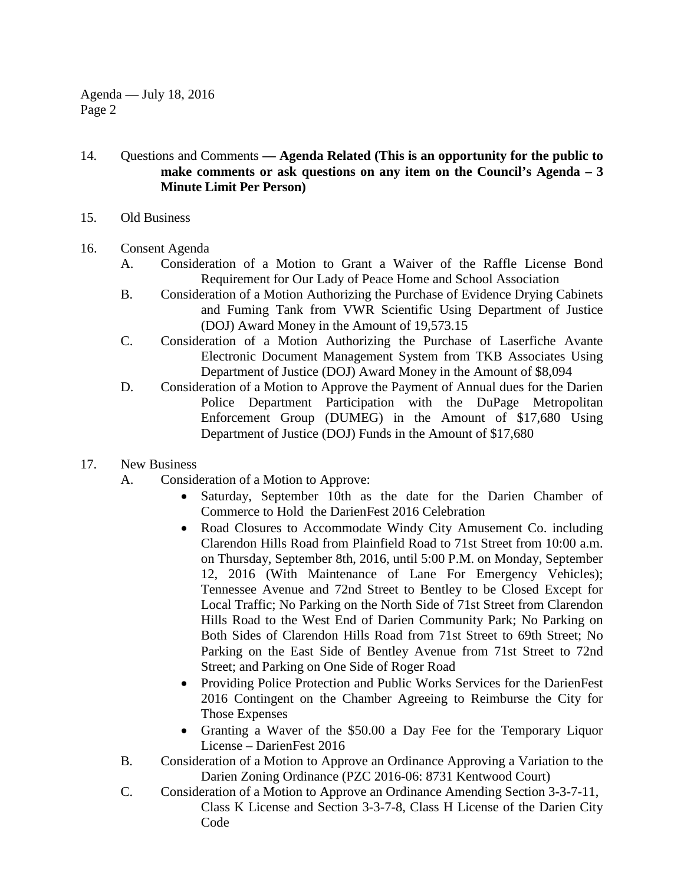Agenda — July 18, 2016 Page 2

- 14. Questions and Comments **— Agenda Related (This is an opportunity for the public to make comments or ask questions on any item on the Council's Agenda – 3 Minute Limit Per Person)**
- 15. Old Business
- 16. Consent Agenda
	- A. Consideration of a Motion to Grant a Waiver of the Raffle License Bond Requirement for Our Lady of Peace Home and School Association
	- B. Consideration of a Motion Authorizing the Purchase of Evidence Drying Cabinets and Fuming Tank from VWR Scientific Using Department of Justice (DOJ) Award Money in the Amount of 19,573.15
	- C. Consideration of a Motion Authorizing the Purchase of Laserfiche Avante Electronic Document Management System from TKB Associates Using Department of Justice (DOJ) Award Money in the Amount of \$8,094
	- D. Consideration of a Motion to Approve the Payment of Annual dues for the Darien Police Department Participation with the DuPage Metropolitan Enforcement Group (DUMEG) in the Amount of \$17,680 Using Department of Justice (DOJ) Funds in the Amount of \$17,680
- 17. New Business
	- A. Consideration of a Motion to Approve:
		- Saturday, September 10th as the date for the Darien Chamber of Commerce to Hold the DarienFest 2016 Celebration
		- Road Closures to Accommodate Windy City Amusement Co. including Clarendon Hills Road from Plainfield Road to 71st Street from 10:00 a.m. on Thursday, September 8th, 2016, until 5:00 P.M. on Monday, September 12, 2016 (With Maintenance of Lane For Emergency Vehicles); Tennessee Avenue and 72nd Street to Bentley to be Closed Except for Local Traffic; No Parking on the North Side of 71st Street from Clarendon Hills Road to the West End of Darien Community Park; No Parking on Both Sides of Clarendon Hills Road from 71st Street to 69th Street; No Parking on the East Side of Bentley Avenue from 71st Street to 72nd Street; and Parking on One Side of Roger Road
		- Providing Police Protection and Public Works Services for the DarienFest 2016 Contingent on the Chamber Agreeing to Reimburse the City for Those Expenses
		- Granting a Waver of the \$50.00 a Day Fee for the Temporary Liquor License – DarienFest 2016
	- B. Consideration of a Motion to Approve an Ordinance Approving a Variation to the Darien Zoning Ordinance (PZC 2016-06: 8731 Kentwood Court)
	- C. Consideration of a Motion to Approve an Ordinance Amending Section 3-3-7-11, Class K License and Section 3-3-7-8, Class H License of the Darien City Code